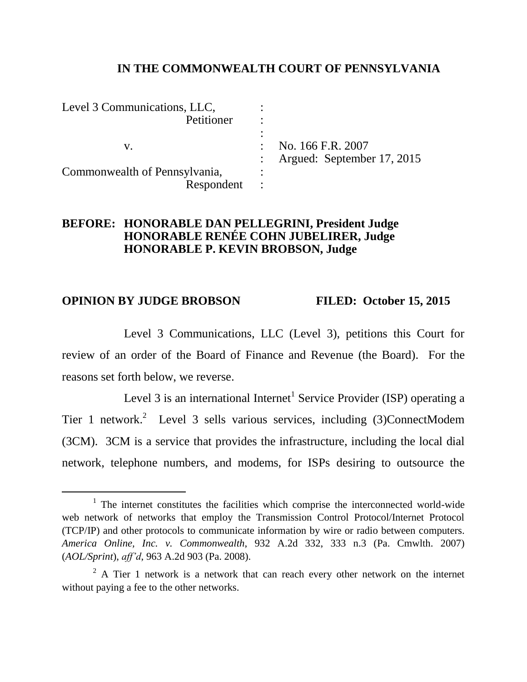## **IN THE COMMONWEALTH COURT OF PENNSYLVANIA**

| Level 3 Communications, LLC,  |                                |
|-------------------------------|--------------------------------|
| Petitioner                    |                                |
|                               |                                |
|                               | No. 166 F.R. 2007              |
|                               | : Argued: September $17, 2015$ |
| Commonwealth of Pennsylvania, |                                |
| Respondent                    |                                |

# **BEFORE: HONORABLE DAN PELLEGRINI, President Judge HONORABLE RENÉE COHN JUBELIRER, Judge HONORABLE P. KEVIN BROBSON, Judge**

### **OPINION BY JUDGE BROBSON FILED: October 15, 2015**

 $\overline{a}$ 

Level 3 Communications, LLC (Level 3), petitions this Court for review of an order of the Board of Finance and Revenue (the Board). For the reasons set forth below, we reverse.

Level 3 is an international Internet<sup>1</sup> Service Provider (ISP) operating a Tier 1 network.<sup>2</sup> Level 3 sells various services, including  $(3)$ ConnectModem (3CM). 3CM is a service that provides the infrastructure, including the local dial network, telephone numbers, and modems, for ISPs desiring to outsource the

<sup>&</sup>lt;sup>1</sup> The internet constitutes the facilities which comprise the interconnected world-wide web network of networks that employ the Transmission Control Protocol/Internet Protocol (TCP/IP) and other protocols to communicate information by wire or radio between computers. *America Online, Inc. v. Commonwealth*, 932 A.2d 332, 333 n.3 (Pa. Cmwlth. 2007) (*AOL/Sprint*), *aff'd*, 963 A.2d 903 (Pa. 2008).

 $2 A$  Tier 1 network is a network that can reach every other network on the internet without paying a fee to the other networks.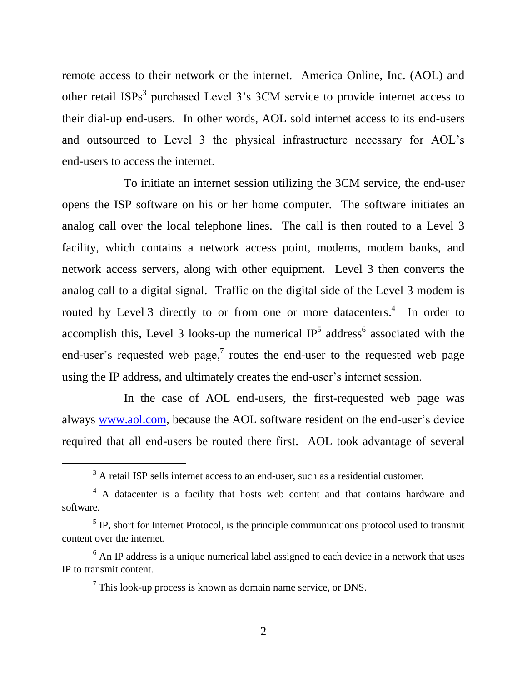remote access to their network or the internet. America Online, Inc. (AOL) and other retail  $ISPs<sup>3</sup>$  purchased Level 3's 3CM service to provide internet access to their dial-up end-users. In other words, AOL sold internet access to its end-users and outsourced to Level 3 the physical infrastructure necessary for AOL's end-users to access the internet.

To initiate an internet session utilizing the 3CM service, the end-user opens the ISP software on his or her home computer. The software initiates an analog call over the local telephone lines. The call is then routed to a Level 3 facility, which contains a network access point, modems, modem banks, and network access servers, along with other equipment. Level 3 then converts the analog call to a digital signal. Traffic on the digital side of the Level 3 modem is routed by Level 3 directly to or from one or more datacenters.<sup>4</sup> In order to accomplish this, Level 3 looks-up the numerical  $IP<sup>5</sup>$  address<sup>6</sup> associated with the end-user's requested web page,<sup>7</sup> routes the end-user to the requested web page using the IP address, and ultimately creates the end-user's internet session.

In the case of AOL end-users, the first-requested web page was always [www.aol.com,](http://www.aol.com/) because the AOL software resident on the end-user's device required that all end-users be routed there first. AOL took advantage of several

<sup>&</sup>lt;sup>3</sup> A retail ISP sells internet access to an end-user, such as a residential customer.

<sup>4</sup> A datacenter is a facility that hosts web content and that contains hardware and software.

 $<sup>5</sup>$  IP, short for Internet Protocol, is the principle communications protocol used to transmit</sup> content over the internet.

 $6$  An IP address is a unique numerical label assigned to each device in a network that uses IP to transmit content.

 $7$  This look-up process is known as domain name service, or DNS.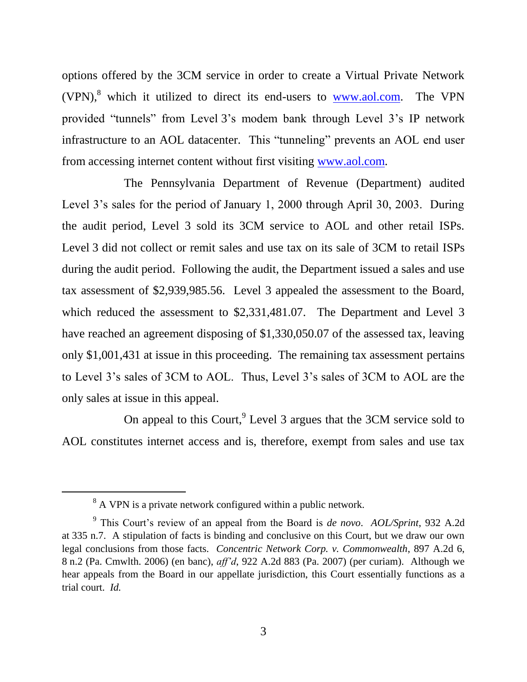options offered by the 3CM service in order to create a Virtual Private Network  $(VPN)$ , which it utilized to direct its end-users to [www.aol.com.](http://www.aol.com/) The VPN provided "tunnels" from Level 3's modem bank through Level 3's IP network infrastructure to an AOL datacenter. This "tunneling" prevents an AOL end user from accessing internet content without first visiting [www.aol.com.](http://www.aol.com/)

The Pennsylvania Department of Revenue (Department) audited Level 3's sales for the period of January 1, 2000 through April 30, 2003. During the audit period, Level 3 sold its 3CM service to AOL and other retail ISPs. Level 3 did not collect or remit sales and use tax on its sale of 3CM to retail ISPs during the audit period. Following the audit, the Department issued a sales and use tax assessment of \$2,939,985.56. Level 3 appealed the assessment to the Board, which reduced the assessment to \$2,331,481.07. The Department and Level 3 have reached an agreement disposing of \$1,330,050.07 of the assessed tax, leaving only \$1,001,431 at issue in this proceeding. The remaining tax assessment pertains to Level 3's sales of 3CM to AOL. Thus, Level 3's sales of 3CM to AOL are the only sales at issue in this appeal.

On appeal to this Court,  $9$  Level 3 argues that the 3CM service sold to AOL constitutes internet access and is, therefore, exempt from sales and use tax

<sup>&</sup>lt;sup>8</sup> A VPN is a private network configured within a public network.

<sup>9</sup> This Court's review of an appeal from the Board is *de novo*. *AOL/Sprint*, 932 A.2d at 335 n.7. A stipulation of facts is binding and conclusive on this Court, but we draw our own legal conclusions from those facts. *Concentric Network Corp. v. Commonwealth*, 897 A.2d 6, 8 n.2 (Pa. Cmwlth. 2006) (en banc), *aff'd*, 922 A.2d 883 (Pa. 2007) (per curiam). Although we hear appeals from the Board in our appellate jurisdiction, this Court essentially functions as a trial court. *Id.*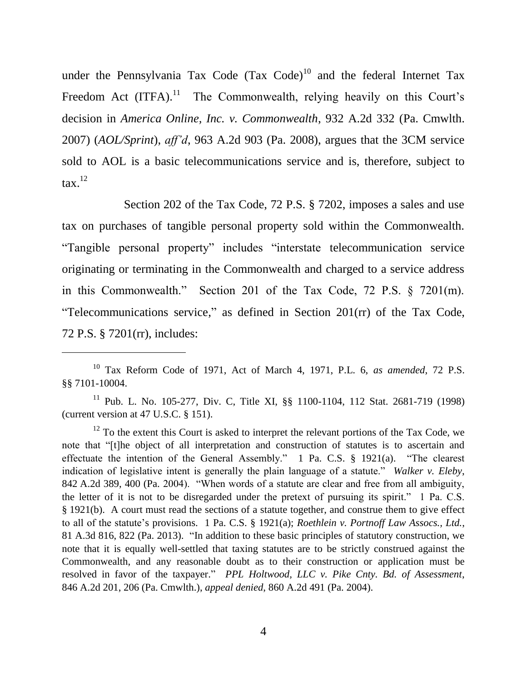under the Pennsylvania Tax Code  $(Tax Code)^{10}$  and the federal Internet Tax Freedom Act  $(ITFA).$ <sup>11</sup> The Commonwealth, relying heavily on this Court's decision in *America Online, Inc. v. Commonwealth*, 932 A.2d 332 (Pa. Cmwlth. 2007) (*AOL/Sprint*), *aff'd*, 963 A.2d 903 (Pa. 2008), argues that the 3CM service sold to AOL is a basic telecommunications service and is, therefore, subject to  $\text{tax.}^{12}$ 

Section 202 of the Tax Code, 72 P.S. § 7202, imposes a sales and use tax on purchases of tangible personal property sold within the Commonwealth. "Tangible personal property" includes "interstate telecommunication service originating or terminating in the Commonwealth and charged to a service address in this Commonwealth." Section 201 of the Tax Code, 72 P.S. § 7201(m). "Telecommunications service," as defined in Section 201(rr) of the Tax Code, 72 P.S. § 7201(rr), includes:

<sup>10</sup> Tax Reform Code of 1971, Act of March 4, 1971, P.L. 6, *as amended*, 72 P.S. §§ 7101-10004.

<sup>11</sup> Pub. L. No. 105-277, Div. C, Title XI, §§ 1100-1104, 112 Stat. 2681-719 (1998) (current version at 47 U.S.C. § 151).

 $12$  To the extent this Court is asked to interpret the relevant portions of the Tax Code, we note that "[t]he object of all interpretation and construction of statutes is to ascertain and effectuate the intention of the General Assembly." 1 Pa. C.S. § 1921(a). "The clearest indication of legislative intent is generally the plain language of a statute." *Walker v. Eleby*, 842 A.2d 389, 400 (Pa. 2004). "When words of a statute are clear and free from all ambiguity, the letter of it is not to be disregarded under the pretext of pursuing its spirit." 1 Pa. C.S. § 1921(b). A court must read the sections of a statute together, and construe them to give effect to all of the statute's provisions. 1 Pa. C.S. § 1921(a); *Roethlein v. Portnoff Law Assocs., Ltd.*, 81 A.3d 816, 822 (Pa. 2013). "In addition to these basic principles of statutory construction, we note that it is equally well-settled that taxing statutes are to be strictly construed against the Commonwealth, and any reasonable doubt as to their construction or application must be resolved in favor of the taxpayer." *PPL Holtwood, LLC v. Pike Cnty. Bd. of Assessment*, 846 A.2d 201, 206 (Pa. Cmwlth.), *appeal denied*, 860 A.2d 491 (Pa. 2004).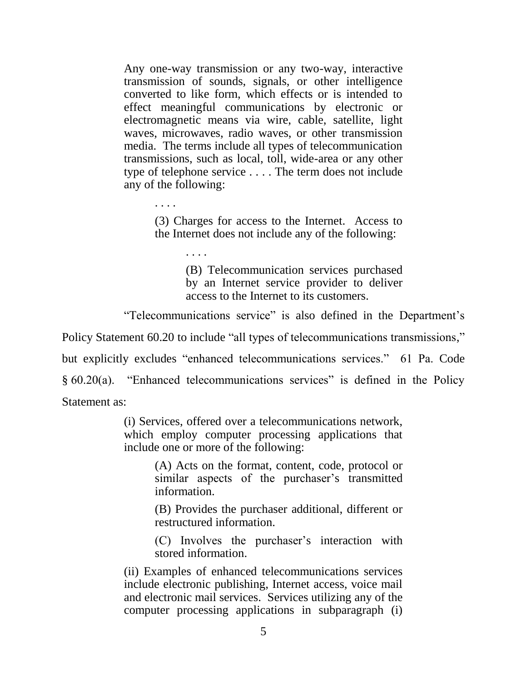Any one-way transmission or any two-way, interactive transmission of sounds, signals, or other intelligence converted to like form, which effects or is intended to effect meaningful communications by electronic or electromagnetic means via wire, cable, satellite, light waves, microwaves, radio waves, or other transmission media. The terms include all types of telecommunication transmissions, such as local, toll, wide-area or any other type of telephone service . . . . The term does not include any of the following:

> (3) Charges for access to the Internet. Access to the Internet does not include any of the following:

> > (B) Telecommunication services purchased by an Internet service provider to deliver access to the Internet to its customers.

"Telecommunications service" is also defined in the Department's

Policy Statement 60.20 to include "all types of telecommunications transmissions,"

but explicitly excludes "enhanced telecommunications services." 61 Pa. Code § 60.20(a). "Enhanced telecommunications services" is defined in the Policy

Statement as:

. . . .

. . . .

(i) Services, offered over a telecommunications network, which employ computer processing applications that include one or more of the following:

> (A) Acts on the format, content, code, protocol or similar aspects of the purchaser's transmitted information.

> (B) Provides the purchaser additional, different or restructured information.

> (C) Involves the purchaser's interaction with stored information.

(ii) Examples of enhanced telecommunications services include electronic publishing, Internet access, voice mail and electronic mail services. Services utilizing any of the computer processing applications in subparagraph (i)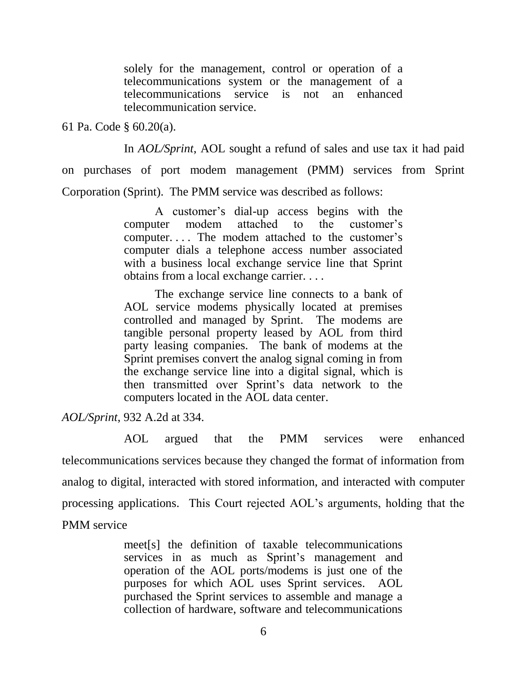solely for the management, control or operation of a telecommunications system or the management of a telecommunications service is not an enhanced telecommunication service.

61 Pa. Code § 60.20(a).

In *AOL/Sprint*, AOL sought a refund of sales and use tax it had paid on purchases of port modem management (PMM) services from Sprint Corporation (Sprint). The PMM service was described as follows:

> A customer's dial-up access begins with the computer modem attached to the customer's computer. . . . The modem attached to the customer's computer dials a telephone access number associated with a business local exchange service line that Sprint obtains from a local exchange carrier. . . .

> The exchange service line connects to a bank of AOL service modems physically located at premises controlled and managed by Sprint. The modems are tangible personal property leased by AOL from third party leasing companies. The bank of modems at the Sprint premises convert the analog signal coming in from the exchange service line into a digital signal, which is then transmitted over Sprint's data network to the computers located in the AOL data center.

*AOL/Sprint*, 932 A.2d at 334.

AOL argued that the PMM services were enhanced telecommunications services because they changed the format of information from analog to digital, interacted with stored information, and interacted with computer processing applications. This Court rejected AOL's arguments, holding that the PMM service

> meet[s] the definition of taxable telecommunications services in as much as Sprint's management and operation of the AOL ports/modems is just one of the purposes for which AOL uses Sprint services. AOL purchased the Sprint services to assemble and manage a collection of hardware, software and telecommunications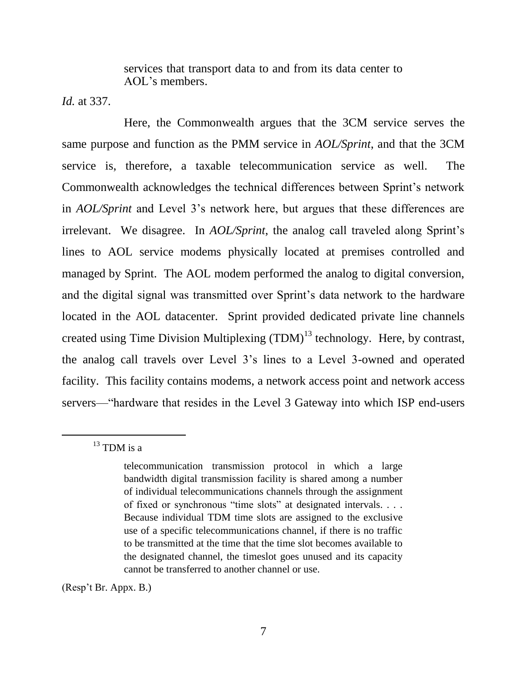services that transport data to and from its data center to AOL's members.

*Id.* at 337.

Here, the Commonwealth argues that the 3CM service serves the same purpose and function as the PMM service in *AOL/Sprint*, and that the 3CM service is, therefore, a taxable telecommunication service as well. The Commonwealth acknowledges the technical differences between Sprint's network in *AOL/Sprint* and Level 3's network here, but argues that these differences are irrelevant. We disagree. In *AOL/Sprint*, the analog call traveled along Sprint's lines to AOL service modems physically located at premises controlled and managed by Sprint. The AOL modem performed the analog to digital conversion, and the digital signal was transmitted over Sprint's data network to the hardware located in the AOL datacenter. Sprint provided dedicated private line channels created using Time Division Multiplexing  $(TDM)^{13}$  technology. Here, by contrast, the analog call travels over Level 3's lines to a Level 3-owned and operated facility. This facility contains modems, a network access point and network access servers—"hardware that resides in the Level 3 Gateway into which ISP end-users

 $\overline{a}$ 

(Resp't Br. Appx. B.)

 $^{13}$  TDM is a

telecommunication transmission protocol in which a large bandwidth digital transmission facility is shared among a number of individual telecommunications channels through the assignment of fixed or synchronous "time slots" at designated intervals. . . . Because individual TDM time slots are assigned to the exclusive use of a specific telecommunications channel, if there is no traffic to be transmitted at the time that the time slot becomes available to the designated channel, the timeslot goes unused and its capacity cannot be transferred to another channel or use.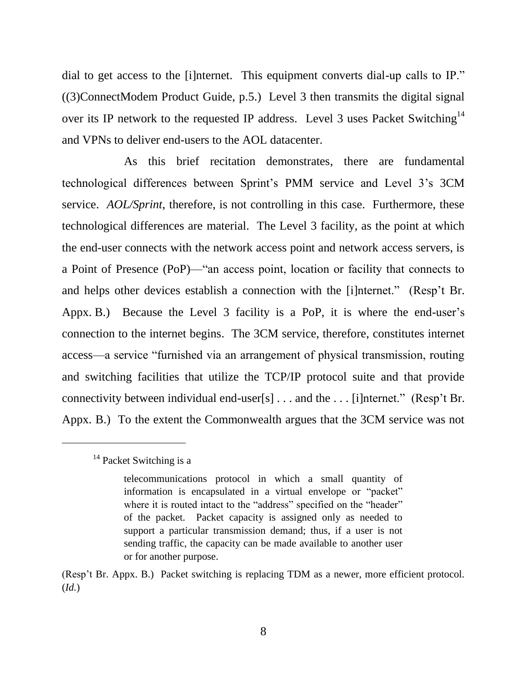dial to get access to the [i]nternet. This equipment converts dial-up calls to IP." ((3)ConnectModem Product Guide, p.5.) Level 3 then transmits the digital signal over its IP network to the requested IP address. Level 3 uses Packet Switching<sup>14</sup> and VPNs to deliver end-users to the AOL datacenter.

As this brief recitation demonstrates, there are fundamental technological differences between Sprint's PMM service and Level 3's 3CM service. *AOL/Sprint*, therefore, is not controlling in this case. Furthermore, these technological differences are material. The Level 3 facility, as the point at which the end-user connects with the network access point and network access servers, is a Point of Presence (PoP)—"an access point, location or facility that connects to and helps other devices establish a connection with the [i]nternet." (Resp't Br. Appx. B.) Because the Level 3 facility is a PoP, it is where the end-user's connection to the internet begins. The 3CM service, therefore, constitutes internet access—a service "furnished via an arrangement of physical transmission, routing and switching facilities that utilize the TCP/IP protocol suite and that provide connectivity between individual end-user[s] . . . and the . . . [i]nternet." (Resp't Br. Appx. B.) To the extent the Commonwealth argues that the 3CM service was not

 $14$  Packet Switching is a

telecommunications protocol in which a small quantity of information is encapsulated in a virtual envelope or "packet" where it is routed intact to the "address" specified on the "header" of the packet. Packet capacity is assigned only as needed to support a particular transmission demand; thus, if a user is not sending traffic, the capacity can be made available to another user or for another purpose.

<sup>(</sup>Resp't Br. Appx. B.) Packet switching is replacing TDM as a newer, more efficient protocol. (*Id.*)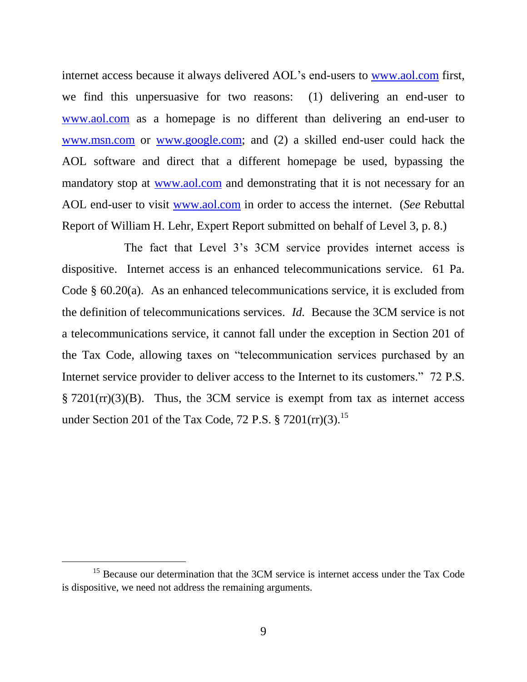internet access because it always delivered AOL's end-users to [www.aol.com](http://www.aol.com/) first, we find this unpersuasive for two reasons: (1) delivering an end-user to [www.aol.com](http://www.aol.com/) as a homepage is no different than delivering an end-user to [www.msn.com](http://www.msn.com/) or [www.google.com;](http://www.google.com/) and (2) a skilled end-user could hack the AOL software and direct that a different homepage be used, bypassing the mandatory stop at [www.aol.com](http://www.aol.com/) and demonstrating that it is not necessary for an AOL end-user to visit [www.aol.com](http://www.aol.com/) in order to access the internet. (*See* Rebuttal Report of William H. Lehr, Expert Report submitted on behalf of Level 3, p. 8.)

The fact that Level 3's 3CM service provides internet access is dispositive. Internet access is an enhanced telecommunications service. 61 Pa. Code § 60.20(a). As an enhanced telecommunications service, it is excluded from the definition of telecommunications services. *Id.* Because the 3CM service is not a telecommunications service, it cannot fall under the exception in Section 201 of the Tax Code, allowing taxes on "telecommunication services purchased by an Internet service provider to deliver access to the Internet to its customers." 72 P.S.  $\S 7201$ (rr)(3)(B). Thus, the 3CM service is exempt from tax as internet access under Section 201 of the Tax Code, 72 P.S.  $\S 7201$ (rr)(3).<sup>15</sup>

<sup>&</sup>lt;sup>15</sup> Because our determination that the 3CM service is internet access under the Tax Code is dispositive, we need not address the remaining arguments.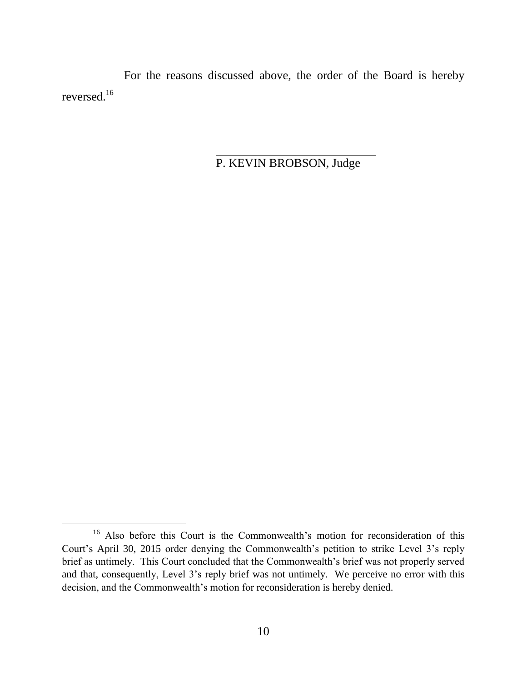For the reasons discussed above, the order of the Board is hereby reversed. $^{16}$ 

P. KEVIN BROBSON, Judge

<sup>16</sup> Also before this Court is the Commonwealth's motion for reconsideration of this Court's April 30, 2015 order denying the Commonwealth's petition to strike Level 3's reply brief as untimely. This Court concluded that the Commonwealth's brief was not properly served and that, consequently, Level 3's reply brief was not untimely. We perceive no error with this decision, and the Commonwealth's motion for reconsideration is hereby denied.